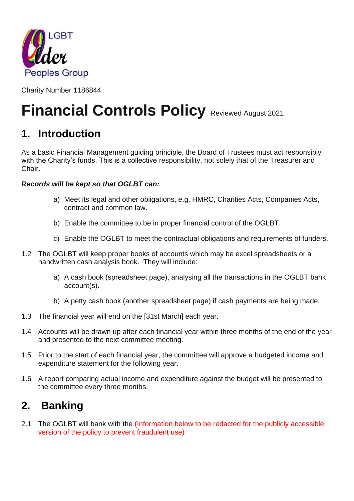

Charity Number 1186844

# **Financial Controls Policy Reviewed August 2021**

# **1. Introduction**

As a basic Financial Management guiding principle, the Board of Trustees must act responsibly with the Charity's funds. This is a collective responsibility, not solely that of the Treasurer and Chair.

#### *Records will be kept so that OGLBT can:*

- a) Meet its legal and other obligations, e.g. HMRC, Charities Acts, Companies Acts, contract and common law.
- b) Enable the committee to be in proper financial control of the OGLBT.
- c) Enable the OGLBT to meet the contractual obligations and requirements of funders.
- 1.2 The OGLBT will keep proper books of accounts which may be excel spreadsheets or a handwritten cash analysis book. They will include:
	- a) A cash book (spreadsheet page), analysing all the transactions in the OGLBT bank account(s).
	- b) A petty cash book (another spreadsheet page) if cash payments are being made.
- 1.3 The financial year will end on the [31st March] each year.
- 1.4 Accounts will be drawn up after each financial year within three months of the end of the year and presented to the next committee meeting.
- 1.5 Prior to the start of each financial year, the committee will approve a budgeted income and expenditure statement for the following year.
- 1.6 A report comparing actual income and expenditure against the budget will be presented to the committee every three months.

### **2. Banking**

2.1 The OGLBT will bank with the (Information below to be redacted for the publicly accessible version of the policy to prevent fraudulent use)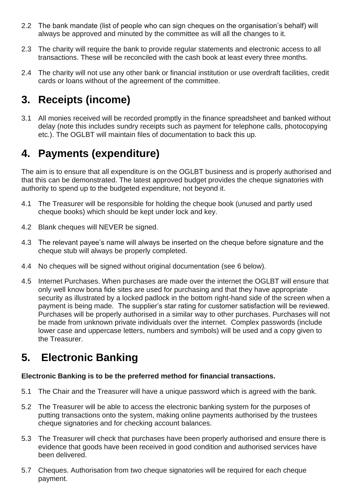- 2.2 The bank mandate (list of people who can sign cheques on the organisation's behalf) will always be approved and minuted by the committee as will all the changes to it.
- 2.3 The charity will require the bank to provide regular statements and electronic access to all transactions. These will be reconciled with the cash book at least every three months.
- 2.4 The charity will not use any other bank or financial institution or use overdraft facilities, credit cards or loans without of the agreement of the committee.

# **3. Receipts (income)**

3.1 All monies received will be recorded promptly in the finance spreadsheet and banked without delay (note this includes sundry receipts such as payment for telephone calls, photocopying etc.). The OGLBT will maintain files of documentation to back this up.

# **4. Payments (expenditure)**

The aim is to ensure that all expenditure is on the OGLBT business and is properly authorised and that this can be demonstrated. The latest approved budget provides the cheque signatories with authority to spend up to the budgeted expenditure, not beyond it.

- 4.1 The Treasurer will be responsible for holding the cheque book (unused and partly used cheque books) which should be kept under lock and key.
- 4.2 Blank cheques will NEVER be signed.
- 4.3 The relevant payee's name will always be inserted on the cheque before signature and the cheque stub will always be properly completed.
- 4.4 No cheques will be signed without original documentation (see 6 below).
- 4.5 Internet Purchases. When purchases are made over the internet the OGLBT will ensure that only well know bona fide sites are used for purchasing and that they have appropriate security as illustrated by a locked padlock in the bottom right-hand side of the screen when a payment is being made. The supplier's star rating for customer satisfaction will be reviewed. Purchases will be properly authorised in a similar way to other purchases. Purchases will not be made from unknown private individuals over the internet. Complex passwords (include lower case and uppercase letters, numbers and symbols) will be used and a copy given to the Treasurer.

### **5. Electronic Banking**

#### **Electronic Banking is to be the preferred method for financial transactions.**

- 5.1 The Chair and the Treasurer will have a unique password which is agreed with the bank.
- 5.2 The Treasurer will be able to access the electronic banking system for the purposes of putting transactions onto the system, making online payments authorised by the trustees cheque signatories and for checking account balances.
- 5.3 The Treasurer will check that purchases have been properly authorised and ensure there is evidence that goods have been received in good condition and authorised services have been delivered.
- 5.7 Cheques. Authorisation from two cheque signatories will be required for each cheque payment.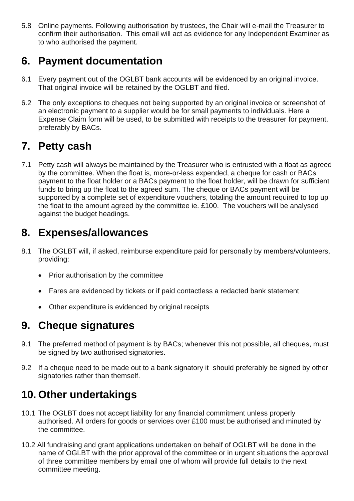5.8 Online payments. Following authorisation by trustees, the Chair will e-mail the Treasurer to confirm their authorisation. This email will act as evidence for any Independent Examiner as to who authorised the payment.

### **6. Payment documentation**

- 6.1 Every payment out of the OGLBT bank accounts will be evidenced by an original invoice. That original invoice will be retained by the OGLBT and filed.
- 6.2 The only exceptions to cheques not being supported by an original invoice or screenshot of an electronic payment to a supplier would be for small payments to individuals. Here a Expense Claim form will be used, to be submitted with receipts to the treasurer for payment, preferably by BACs.

# **7. Petty cash**

7.1 Petty cash will always be maintained by the Treasurer who is entrusted with a float as agreed by the committee. When the float is, more-or-less expended, a cheque for cash or BACs payment to the float holder or a BACs payment to the float holder, will be drawn for sufficient funds to bring up the float to the agreed sum. The cheque or BACs payment will be supported by a complete set of expenditure vouchers, totaling the amount required to top up the float to the amount agreed by the committee ie. £100. The vouchers will be analysed against the budget headings.

# **8. Expenses/allowances**

- 8.1 The OGLBT will, if asked, reimburse expenditure paid for personally by members/volunteers, providing:
	- Prior authorisation by the committee
	- Fares are evidenced by tickets or if paid contactless a redacted bank statement
	- Other expenditure is evidenced by original receipts

### **9. Cheque signatures**

- 9.1 The preferred method of payment is by BACs; whenever this not possible, all cheques, must be signed by two authorised signatories.
- 9.2 If a cheque need to be made out to a bank signatory it should preferably be signed by other signatories rather than themself.

# **10. Other undertakings**

- 10.1 The OGLBT does not accept liability for any financial commitment unless properly authorised. All orders for goods or services over £100 must be authorised and minuted by the committee.
- 10.2 All fundraising and grant applications undertaken on behalf of OGLBT will be done in the name of OGLBT with the prior approval of the committee or in urgent situations the approval of three committee members by email one of whom will provide full details to the next committee meeting.